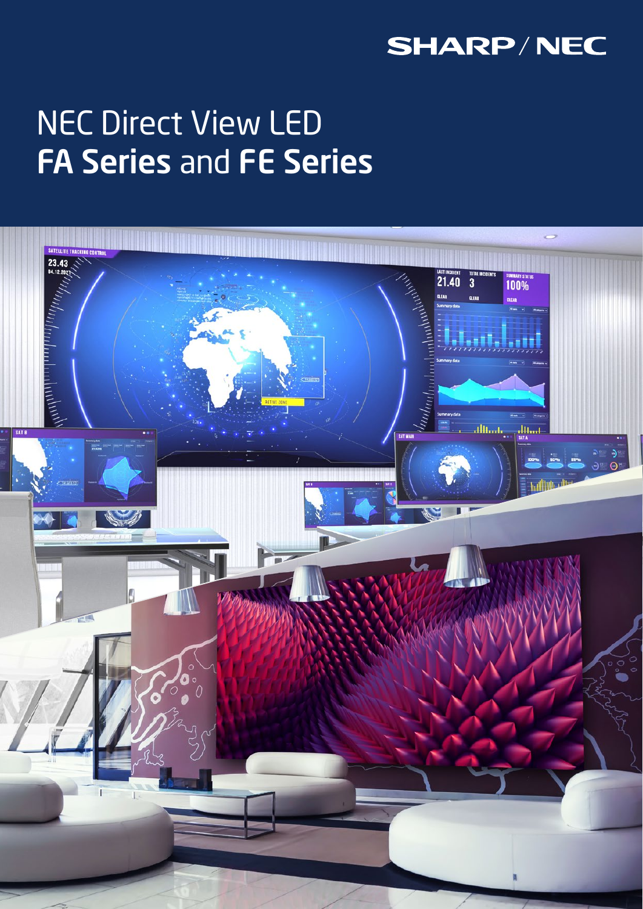## **SHARP/NEC**

# NEC Direct View LED FA Series and FE Series

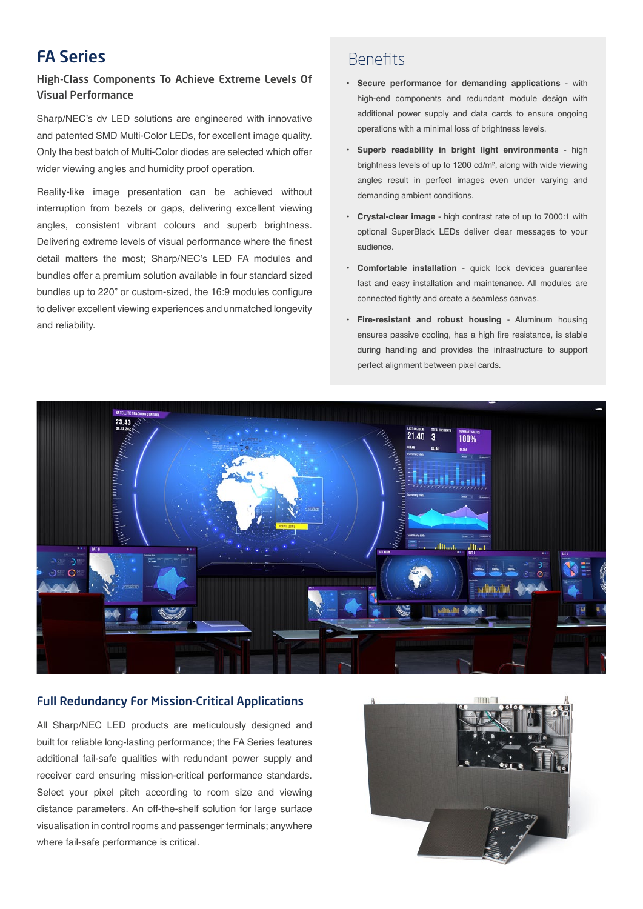## FA Series

#### High-Class Components To Achieve Extreme Levels Of Visual Performance

Sharp/NEC's dv LED solutions are engineered with innovative and patented SMD Multi-Color LEDs, for excellent image quality. Only the best batch of Multi-Color diodes are selected which offer wider viewing angles and humidity proof operation.

Reality-like image presentation can be achieved without interruption from bezels or gaps, delivering excellent viewing angles, consistent vibrant colours and superb brightness. Delivering extreme levels of visual performance where the finest detail matters the most; Sharp/NEC's LED FA modules and bundles offer a premium solution available in four standard sized bundles up to 220" or custom-sized, the 16:9 modules configure to deliver excellent viewing experiences and unmatched longevity and reliability.

## Benefits

- **• Secure performance for demanding applications** with high-end components and redundant module design with additional power supply and data cards to ensure ongoing operations with a minimal loss of brightness levels.
- **• Superb readability in bright light environments** high brightness levels of up to 1200 cd/m², along with wide viewing angles result in perfect images even under varying and demanding ambient conditions.
- **• Crystal-clear image** high contrast rate of up to 7000:1 with optional SuperBlack LEDs deliver clear messages to your audience.
- **• Comfortable installation** quick lock devices guarantee fast and easy installation and maintenance. All modules are connected tightly and create a seamless canvas.
- **• Fire-resistant and robust housing** Aluminum housing ensures passive cooling, has a high fire resistance, is stable during handling and provides the infrastructure to support perfect alignment between pixel cards.



#### Full Redundancy For Mission-Critical Applications

All Sharp/NEC LED products are meticulously designed and built for reliable long-lasting performance; the FA Series features additional fail-safe qualities with redundant power supply and receiver card ensuring mission-critical performance standards. Select your pixel pitch according to room size and viewing distance parameters. An off-the-shelf solution for large surface visualisation in control rooms and passenger terminals; anywhere where fail-safe performance is critical.

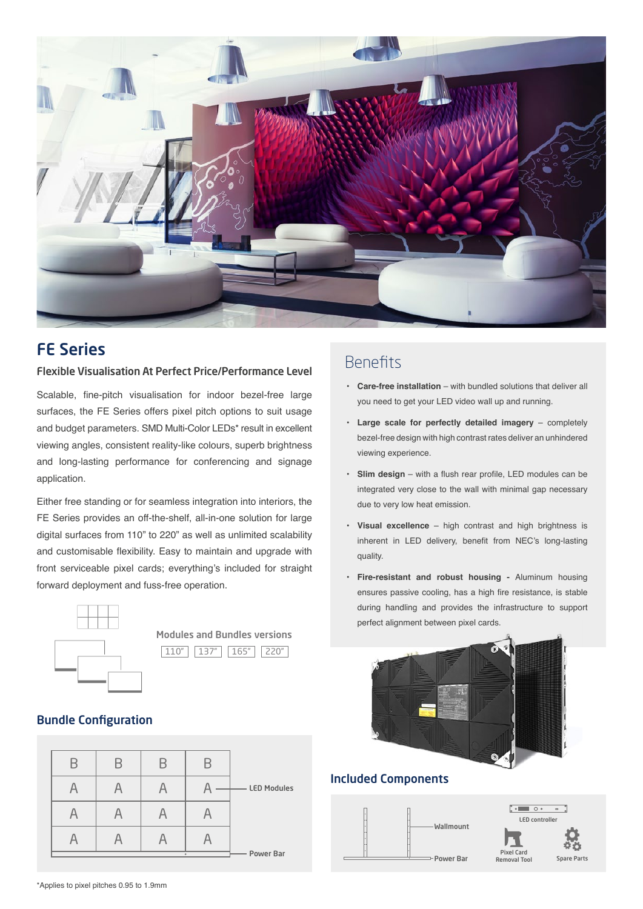

### FE Series

#### Flexible Visualisation At Perfect Price/Performance Level

Scalable, fine-pitch visualisation for indoor bezel-free large surfaces, the FE Series offers pixel pitch options to suit usage and budget parameters. SMD Multi-Color LEDs\* result in excellent viewing angles, consistent reality-like colours, superb brightness and long-lasting performance for conferencing and signage application.

Either free standing or for seamless integration into interiors, the FE Series provides an off-the-shelf, all-in-one solution for large digital surfaces from 110" to 220" as well as unlimited scalability and customisable flexibility. Easy to maintain and upgrade with front serviceable pixel cards; everything's included for straight forward deployment and fuss-free operation.



Modules and Bundles versions 110" 137" 165" 220"

#### Bundle Configuration

|  |           |  | <b>LED Modules</b> |
|--|-----------|--|--------------------|
|  |           |  |                    |
|  |           |  |                    |
|  | Power Bar |  |                    |

## Benefits

- **• Care-free installation** with bundled solutions that deliver all you need to get your LED video wall up and running.
- **• Large scale for perfectly detailed imagery** completely bezel-free design with high contrast rates deliver an unhindered viewing experience.
- **• Slim design** with a flush rear profile, LED modules can be integrated very close to the wall with minimal gap necessary due to very low heat emission.
- **• Visual excellence** high contrast and high brightness is inherent in LED delivery, benefit from NEC's long-lasting quality.
- **• Fire-resistant and robust housing** Aluminum housing ensures passive cooling, has a high fire resistance, is stable during handling and provides the infrastructure to support perfect alignment between pixel cards.



#### Included Components